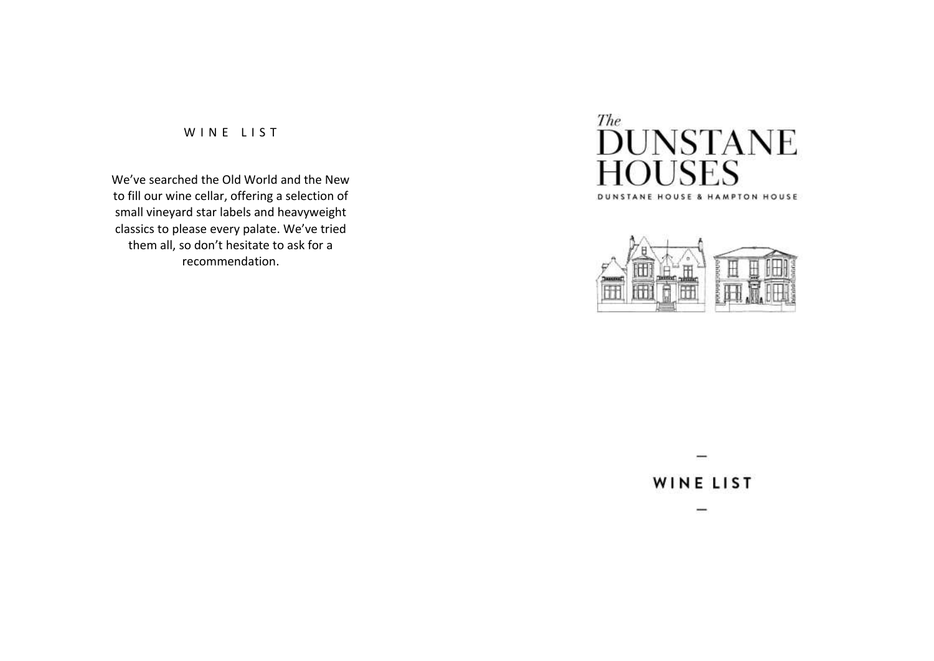## WINE LIST

We've searched the Old World and the New to fill our wine cellar, offering a selection of small vineyard star labels and heavyweight classics to please every palate. We've tried them all, so don't hesitate to ask for a recommendation.





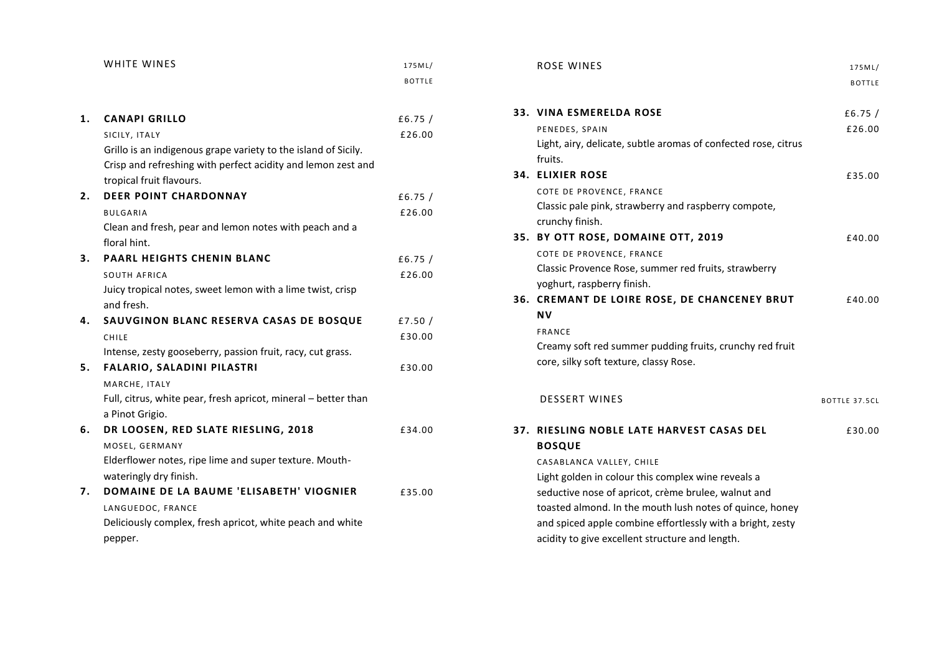|    | WHITE WINES                                                    | 175ML/        |
|----|----------------------------------------------------------------|---------------|
|    |                                                                | <b>BOTTLE</b> |
|    |                                                                |               |
| 1. | <b>CANAPI GRILLO</b>                                           | £6.75 $/$     |
|    | SICILY, ITALY                                                  | £26.00        |
|    | Grillo is an indigenous grape variety to the island of Sicily. |               |
|    | Crisp and refreshing with perfect acidity and lemon zest and   |               |
|    | tropical fruit flavours.                                       |               |
| 2. | <b>DEER POINT CHARDONNAY</b>                                   | £6.75 $/$     |
|    | <b>BULGARIA</b>                                                | £26.00        |
|    | Clean and fresh, pear and lemon notes with peach and a         |               |
|    | floral hint.                                                   |               |
| 3. | <b>PAARL HEIGHTS CHENIN BLANC</b>                              | £6.75 $/$     |
|    | SOUTH AFRICA                                                   | £26.00        |
|    | Juicy tropical notes, sweet lemon with a lime twist, crisp     |               |
|    | and fresh.                                                     |               |
| 4. | SAUVGINON BLANC RESERVA CASAS DE BOSQUE                        | £7.50 $/$     |
|    | CHILE                                                          | £30.00        |
|    | Intense, zesty gooseberry, passion fruit, racy, cut grass.     |               |
| 5. | FALARIO, SALADINI PILASTRI                                     | £30.00        |
|    | MARCHE, ITALY                                                  |               |
|    | Full, citrus, white pear, fresh apricot, mineral - better than |               |
|    | a Pinot Grigio.                                                |               |
| 6. | DR LOOSEN, RED SLATE RIESLING, 2018                            | £34.00        |
|    | MOSEL, GERMANY                                                 |               |
|    | Elderflower notes, ripe lime and super texture. Mouth-         |               |
|    | wateringly dry finish.                                         |               |
| 7. | DOMAINE DE LA BAUME 'ELISABETH' VIOGNIER                       | £35.00        |
|    | LANGUEDOC, FRANCE                                              |               |
|    | Deliciously complex, fresh apricot, white peach and white      |               |
|    | pepper.                                                        |               |

| <b>ROSE WINES</b>                                              | 175ML/        |
|----------------------------------------------------------------|---------------|
|                                                                | <b>BOTTLE</b> |
|                                                                |               |
| <b>33. VINA ESMERELDA ROSE</b>                                 | £6.75 $/$     |
| PENEDES, SPAIN                                                 | £26.00        |
| Light, airy, delicate, subtle aromas of confected rose, citrus |               |
| fruits.                                                        |               |
| <b>34. ELIXIER ROSE</b>                                        | £35.00        |
| COTE DE PROVENCE, FRANCE                                       |               |
| Classic pale pink, strawberry and raspberry compote,           |               |
| crunchy finish.                                                |               |
| 35. BY OTT ROSE, DOMAINE OTT, 2019                             | £40.00        |
| COTE DE PROVENCE, FRANCE                                       |               |
| Classic Provence Rose, summer red fruits, strawberry           |               |
| yoghurt, raspberry finish.                                     |               |
| 36. CREMANT DE LOIRE ROSE, DE CHANCENEY BRUT                   | £40.00        |
| <b>NV</b>                                                      |               |
| <b>FRANCE</b>                                                  |               |
| Creamy soft red summer pudding fruits, crunchy red fruit       |               |
| core, silky soft texture, classy Rose.                         |               |
|                                                                |               |
| <b>DESSERT WINES</b>                                           |               |
|                                                                | BOTTLE 37.5CL |
| 37. RIESLING NOBLE LATE HARVEST CASAS DEL                      | £30.00        |
| <b>BOSQUE</b>                                                  |               |
| CASABLANCA VALLEY, CHILE                                       |               |
| Light golden in colour this complex wine reveals a             |               |
| seductive nose of apricot, crème brulee, walnut and            |               |
| toasted almond. In the mouth lush notes of quince, honey       |               |
| and spiced apple combine effortlessly with a bright, zesty     |               |
| acidity to give excellent structure and length.                |               |
|                                                                |               |
|                                                                |               |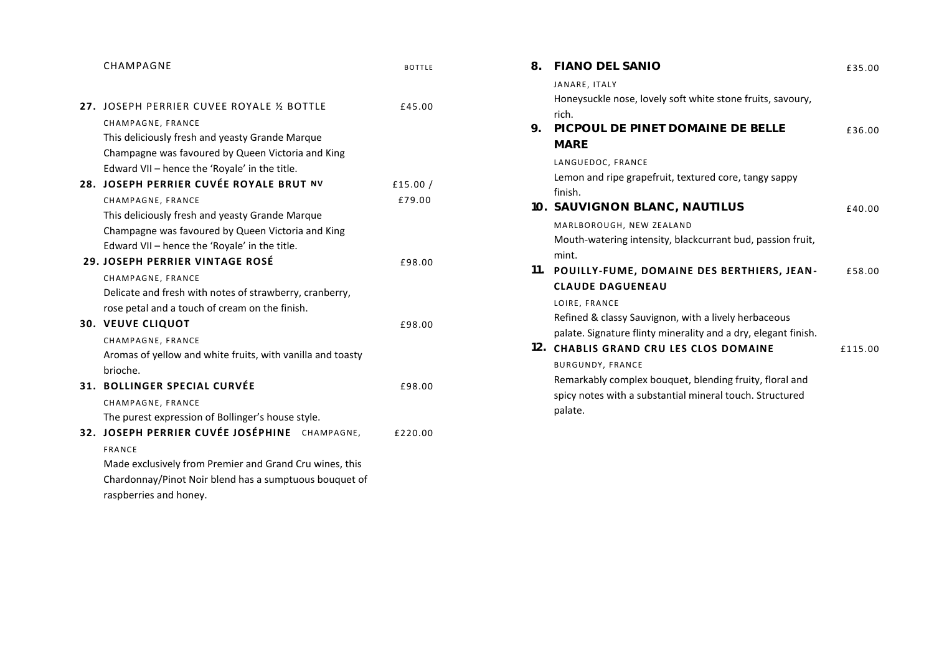| CHAMPAGNE                                               | <b>BOTTLE</b>                                                                                                                                                                                                                                                                                                                                                                                                                                                                                                                                                     |
|---------------------------------------------------------|-------------------------------------------------------------------------------------------------------------------------------------------------------------------------------------------------------------------------------------------------------------------------------------------------------------------------------------------------------------------------------------------------------------------------------------------------------------------------------------------------------------------------------------------------------------------|
|                                                         |                                                                                                                                                                                                                                                                                                                                                                                                                                                                                                                                                                   |
|                                                         | £45.00                                                                                                                                                                                                                                                                                                                                                                                                                                                                                                                                                            |
| CHAMPAGNE, FRANCE                                       |                                                                                                                                                                                                                                                                                                                                                                                                                                                                                                                                                                   |
|                                                         |                                                                                                                                                                                                                                                                                                                                                                                                                                                                                                                                                                   |
|                                                         |                                                                                                                                                                                                                                                                                                                                                                                                                                                                                                                                                                   |
| Edward VII - hence the 'Royale' in the title.           |                                                                                                                                                                                                                                                                                                                                                                                                                                                                                                                                                                   |
|                                                         | £15.00 $/$                                                                                                                                                                                                                                                                                                                                                                                                                                                                                                                                                        |
| CHAMPAGNE, FRANCE                                       | £79.00                                                                                                                                                                                                                                                                                                                                                                                                                                                                                                                                                            |
| This deliciously fresh and yeasty Grande Marque         |                                                                                                                                                                                                                                                                                                                                                                                                                                                                                                                                                                   |
| Champagne was favoured by Queen Victoria and King       |                                                                                                                                                                                                                                                                                                                                                                                                                                                                                                                                                                   |
| Edward VII – hence the 'Royale' in the title.           |                                                                                                                                                                                                                                                                                                                                                                                                                                                                                                                                                                   |
|                                                         | £98.00                                                                                                                                                                                                                                                                                                                                                                                                                                                                                                                                                            |
| CHAMPAGNE, FRANCE                                       |                                                                                                                                                                                                                                                                                                                                                                                                                                                                                                                                                                   |
| Delicate and fresh with notes of strawberry, cranberry, |                                                                                                                                                                                                                                                                                                                                                                                                                                                                                                                                                                   |
| rose petal and a touch of cream on the finish.          |                                                                                                                                                                                                                                                                                                                                                                                                                                                                                                                                                                   |
|                                                         | £98.00                                                                                                                                                                                                                                                                                                                                                                                                                                                                                                                                                            |
| CHAMPAGNE, FRANCE                                       |                                                                                                                                                                                                                                                                                                                                                                                                                                                                                                                                                                   |
|                                                         |                                                                                                                                                                                                                                                                                                                                                                                                                                                                                                                                                                   |
| brioche.                                                |                                                                                                                                                                                                                                                                                                                                                                                                                                                                                                                                                                   |
|                                                         | £98.00                                                                                                                                                                                                                                                                                                                                                                                                                                                                                                                                                            |
| CHAMPAGNE, FRANCE                                       |                                                                                                                                                                                                                                                                                                                                                                                                                                                                                                                                                                   |
| The purest expression of Bollinger's house style.       |                                                                                                                                                                                                                                                                                                                                                                                                                                                                                                                                                                   |
|                                                         | £220.00                                                                                                                                                                                                                                                                                                                                                                                                                                                                                                                                                           |
| <b>FRANCE</b>                                           |                                                                                                                                                                                                                                                                                                                                                                                                                                                                                                                                                                   |
|                                                         |                                                                                                                                                                                                                                                                                                                                                                                                                                                                                                                                                                   |
|                                                         |                                                                                                                                                                                                                                                                                                                                                                                                                                                                                                                                                                   |
|                                                         |                                                                                                                                                                                                                                                                                                                                                                                                                                                                                                                                                                   |
|                                                         | 27. JOSEPH PERRIER CUVEE ROYALE 1/2 BOTTLE<br>This deliciously fresh and yeasty Grande Marque<br>Champagne was favoured by Queen Victoria and King<br>28. JOSEPH PERRIER CUVÉE ROYALE BRUT NV<br><b>29. JOSEPH PERRIER VINTAGE ROSÉ</b><br><b>30. VEUVE CLIQUOT</b><br>Aromas of yellow and white fruits, with vanilla and toasty<br>31. BOLLINGER SPECIAL CURVÉE<br>32. JOSEPH PERRIER CUVÉE JOSÉPHINE CHAMPAGNE,<br>Made exclusively from Premier and Grand Cru wines, this<br>Chardonnay/Pinot Noir blend has a sumptuous bouquet of<br>raspberries and honey. |

| 8.  | FIANO DEL SANIO                                                                                                                                                                                                                                               | £35.00  |
|-----|---------------------------------------------------------------------------------------------------------------------------------------------------------------------------------------------------------------------------------------------------------------|---------|
|     | JANARE, ITALY<br>Honeysuckle nose, lovely soft white stone fruits, savoury,<br>rich.                                                                                                                                                                          |         |
| 9.  | PICPOUL DE PINET DOMAINE DE BELLE<br>MARE                                                                                                                                                                                                                     | £36.00  |
|     | LANGUEDOC, FRANCE<br>Lemon and ripe grapefruit, textured core, tangy sappy<br>finish.<br>10. SAUVIGNON BLANC, NAUTILUS                                                                                                                                        | £40.00  |
|     | MARLBOROUGH, NEW ZEALAND<br>Mouth-watering intensity, blackcurrant bud, passion fruit,<br>mint.                                                                                                                                                               |         |
| 11. | POUILLY-FUME, DOMAINE DES BERTHIERS, JEAN-<br><b>CLAUDE DAGUENEAU</b><br>LOIRE, FRANCE<br>Refined & classy Sauvignon, with a lively herbaceous                                                                                                                | £58.00  |
| 12. | palate. Signature flinty minerality and a dry, elegant finish.<br><b>CHABLIS GRAND CRU LES CLOS DOMAINE</b><br><b>BURGUNDY, FRANCE</b><br>Remarkably complex bouquet, blending fruity, floral and<br>spicy notes with a substantial mineral touch. Structured | £115.00 |
|     | palate.                                                                                                                                                                                                                                                       |         |